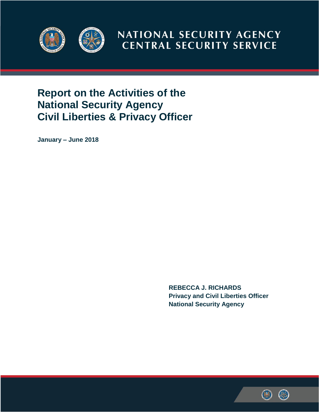

NATIONAL SECURITY AGENCY **CENTRAL SECURITY SERVICE** 

# **Report on the Activities of the National Security Agency Civil Liberties & Privacy Officer**

**January – June 2018**

**REBECCA J. RICHARDS Privacy and Civil Liberties Officer National Security Agency** 

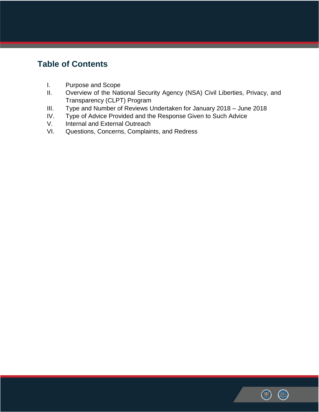## **Table of Contents**

- I. Purpose and Scope
- II. Overview of the National Security Agency (NSA) Civil Liberties, Privacy, and Transparency (CLPT) Program
- III. Type and Number of Reviews Undertaken for January 2018 June 2018
- IV. Type of Advice Provided and the Response Given to Such Advice
- V. Internal and External Outreach
- VI. Questions, Concerns, Complaints, and Redress

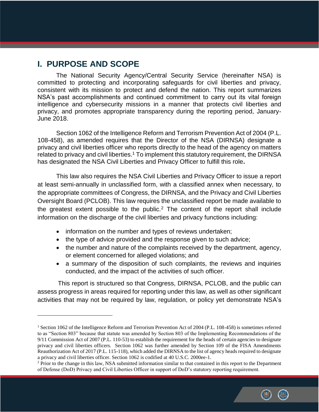### **I. PURPOSE AND SCOPE**

 $\overline{a}$ 

The National Security Agency/Central Security Service (hereinafter NSA) is committed to protecting and incorporating safeguards for civil liberties and privacy, consistent with its mission to protect and defend the nation. This report summarizes NSA's past accomplishments and continued commitment to carry out its vital foreign intelligence and cybersecurity missions in a manner that protects civil liberties and privacy, and promotes appropriate transparency during the reporting period, January-June 2018.

Section 1062 of the Intelligence Reform and Terrorism Prevention Act of 2004 (P.L. 108-458), as amended requires that the Director of the NSA (DIRNSA) designate a privacy and civil liberties officer who reports directly to the head of the agency on matters related to privacy and civil liberties.<sup>1</sup> To implement this statutory requirement, the DIRNSA has designated the NSA Civil Liberties and Privacy Officer to fulfill this role**.** 

This law also requires the NSA Civil Liberties and Privacy Officer to issue a report at least semi-annually in unclassified form, with a classified annex when necessary, to the appropriate committees of Congress, the DIRNSA, and the Privacy and Civil Liberties Oversight Board (PCLOB). This law requires the unclassified report be made available to the greatest extent possible to the public.<sup>2</sup> The content of the report shall include information on the discharge of the civil liberties and privacy functions including:

- information on the number and types of reviews undertaken;
- the type of advice provided and the response given to such advice;
- the number and nature of the complaints received by the department, agency, or element concerned for alleged violations; and
- a summary of the disposition of such complaints, the reviews and inquiries conducted, and the impact of the activities of such officer.

 This report is structured so that Congress, DIRNSA, PCLOB, and the public can assess progress in areas required for reporting under this law, as well as other significant activities that may not be required by law, regulation, or policy yet demonstrate NSA's

<sup>&</sup>lt;sup>2</sup> Prior to the change in this law, NSA submitted information similar to that contained in this report to the Department of Defense (DoD) Privacy and Civil Liberties Officer in support of DoD's statutory reporting requirement.



<sup>&</sup>lt;sup>1</sup> Section 1062 of the Intelligence Reform and Terrorism Prevention Act of 2004 (P.L. 108-458) is sometimes referred to as "Section 803" because that statute was amended by Section 803 of the Implementing Recommendations of the 9/11 Commission Act of 2007 (P.L. 110-53) to establish the requirement for the heads of certain agencies to designate privacy and civil liberties officers. Section 1062 was further amended by Section 109 of the FISA Amendments Reauthorization Act of 2017 (P.L. 115-118), which added the DIRNSA to the list of agency heads required to designate a privacy and civil liberties officer. Section 1062 is codified at 40 U.S.C. 2000ee-1.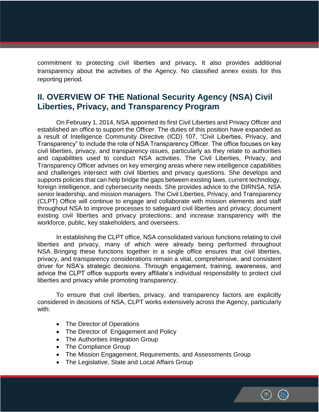commitment to protecting civil liberties and privacy**.** It also provides additional transparency about the activities of the Agency. No classified annex exists for this reporting period.

### **II. OVERVIEW OF THE National Security Agency (NSA) Civil Liberties, Privacy, and Transparency Program**

On February 1, 2014, NSA appointed its first Civil Liberties and Privacy Officer and established an office to support the Officer. The duties of this position have expanded as a result of Intelligence Community Directive (ICD) 107, "Civil Liberties, Privacy, and Transparency" to include the role of NSA Transparency Officer. The office focuses on key civil liberties, privacy, and transparency issues, particularly as they relate to authorities and capabilities used to conduct NSA activities. The Civil Liberties, Privacy, and Transparency Officer advises on key emerging areas where new intelligence capabilities and challenges intersect with civil liberties and privacy questions. She develops and supports policies that can help bridge the gaps between existing laws, current technology, foreign intelligence, and cybersecurity needs. She provides advice to the DIRNSA, NSA senior leadership, and mission managers. The Civil Liberties, Privacy, and Transparency (CLPT) Office will continue to engage and collaborate with mission elements and staff throughout NSA to improve processes to safeguard civil liberties and privacy; document existing civil liberties and privacy protections; and increase transparency with the workforce, public, key stakeholders, and overseers.

In establishing the CLPT office, NSA consolidated various functions relating to civil liberties and privacy, many of which were already being performed throughout NSA. Bringing these functions together in a single office ensures that civil liberties, privacy, and transparency considerations remain a vital, comprehensive, and consistent driver for NSA's strategic decisions. Through engagement, training, awareness, and advice the CLPT office supports every affiliate's individual responsibility to protect civil liberties and privacy while promoting transparency.

To ensure that civil liberties, privacy, and transparency factors are explicitly considered in decisions of NSA, CLPT works extensively across the Agency, particularly with:

- The Director of Operations
- The Director of Engagement and Policy
- The Authorities Integration Group
- The Compliance Group
- The Mission Engagement, Requirements, and Assessments Group
- The Legislative, State and Local Affairs Group

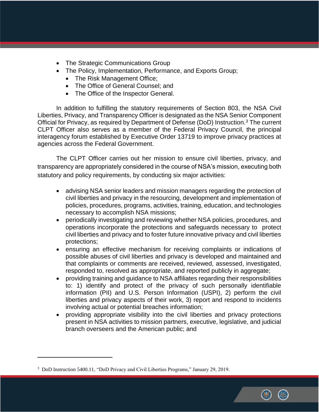- The Strategic Communications Group
- The Policy, Implementation, Performance, and Exports Group;
	- The Risk Management Office;
	- The Office of General Counsel; and
	- The Office of the Inspector General.

In addition to fulfilling the statutory requirements of Section 803, the NSA Civil Liberties, Privacy, and Transparency Officer is designated as the NSA Senior Component Official for Privacy, as required by Department of Defense (DoD) Instruction.<sup>3</sup> The current CLPT Officer also serves as a member of the Federal Privacy Council, the principal interagency forum established by Executive Order 13719 to improve privacy practices at agencies across the Federal Government.

The CLPT Officer carries out her mission to ensure civil liberties, privacy, and transparency are appropriately considered in the course of NSA's mission, executing both statutory and policy requirements, by conducting six major activities:

- advising NSA senior leaders and mission managers regarding the protection of civil liberties and privacy in the resourcing, development and implementation of policies, procedures, programs, activities, training, education, and technologies necessary to accomplish NSA missions;
- periodically investigating and reviewing whether NSA policies, procedures, and operations incorporate the protections and safeguards necessary to protect civil liberties and privacy and to foster future innovative privacy and civil liberties protections;
- ensuring an effective mechanism for receiving complaints or indications of possible abuses of civil liberties and privacy is developed and maintained and that complaints or comments are received, reviewed, assessed, investigated, responded to, resolved as appropriate, and reported publicly in aggregate;
- providing training and guidance to NSA affiliates regarding their responsibilities to: 1) identify and protect of the privacy of such personally identifiable information (PII) and U.S. Person Information (USPI), 2) perform the civil liberties and privacy aspects of their work, 3) report and respond to incidents involving actual or potential breaches information;
- providing appropriate visibility into the civil liberties and privacy protections present in NSA activities to mission partners, executive, legislative, and judicial branch overseers and the American public; and

 $\overline{a}$ 

<sup>&</sup>lt;sup>3</sup> DoD Instruction 5400.11, "DoD Privacy and Civil Liberties Programs," January 29, 2019.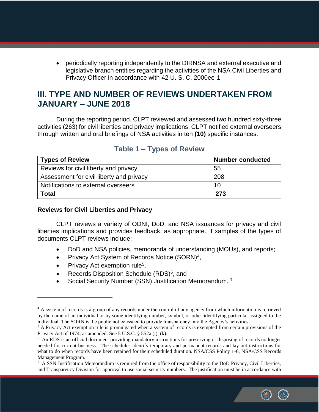periodically reporting independently to the DIRNSA and external executive and legislative branch entities regarding the activities of the NSA Civil Liberties and Privacy Officer in accordance with 42 U. S. C. 2000ee-1

### **III. TYPE AND NUMBER OF REVIEWS UNDERTAKEN FROM JANUARY – JUNE 2018**

During the reporting period, CLPT reviewed and assessed two hundred sixty-three activities (263) for civil liberties and privacy implications. CLPT notified external overseers through written and oral briefings of NSA activities in ten **(10)** specific instances.

| <b>Types of Review</b>                   | Number conducted |
|------------------------------------------|------------------|
| Reviews for civil liberty and privacy    | -55              |
| Assessment for civil liberty and privacy | 208              |
| Notifications to external overseers      | 10               |
| <b>Total</b>                             | 273              |

#### **Table 1 – Types of Review**

#### **Reviews for Civil Liberties and Privacy**

CLPT reviews a variety of ODNI, DoD, and NSA issuances for privacy and civil liberties implications and provides feedback, as appropriate. Examples of the types of documents CLPT reviews include:

- DoD and NSA policies, memoranda of understanding (MOUs), and reports;
- Privacy Act System of Records Notice (SORN)<sup>4</sup>,
- Privacy Act exemption rule<sup>5</sup>,

 $\overline{a}$ 

- Records Disposition Schedule  $(RDS)^6$ , and
- Social Security Number (SSN) Justification Memorandum.<sup>7</sup>

 $^7$  A SSN Justification Memorandum is required from the office of responsibility to the DoD Privacy, Civil Liberties, and Transparency Division for approval to use social security numbers. The justification must be in accordance with



<sup>&</sup>lt;sup>4</sup> A system of records is a group of any records under the control of any agency from which information is retrieved by the name of an individual or by some identifying number, symbol, or other identifying particular assigned to the individual. The SORN is the public notice issued to provide transparency into the Agency's activities.

<sup>&</sup>lt;sup>5</sup> A Privacy Act exemption rule is promulgated when a system of records is exempted from certain provisions of the Privacy Act of 1974, as amended. See 5 U.S.C. § 552a (j), (k).

<sup>&</sup>lt;sup>6</sup> An RDS is an official document providing mandatory instructions for preserving or disposing of records no longer needed for current business. The schedules identify temporary and permanent records and lay out instructions for what to do when records have been retained for their scheduled duration. NSA/CSS Policy 1-6, NSA/CSS Records Management Program.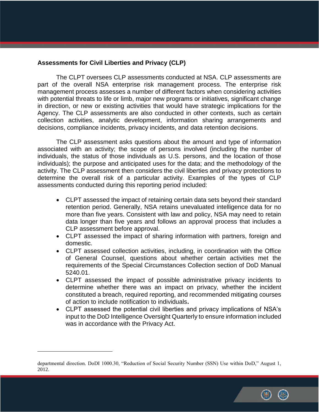#### **Assessments for Civil Liberties and Privacy (CLP)**

The CLPT oversees CLP assessments conducted at NSA. CLP assessments are part of the overall NSA enterprise risk management process. The enterprise risk management process assesses a number of different factors when considering activities with potential threats to life or limb, major new programs or initiatives, significant change in direction, or new or existing activities that would have strategic implications for the Agency. The CLP assessments are also conducted in other contexts, such as certain collection activities, analytic development, information sharing arrangements and decisions, compliance incidents, privacy incidents, and data retention decisions.

The CLP assessment asks questions about the amount and type of information associated with an activity; the scope of persons involved (including the number of individuals, the status of those individuals as U.S. persons, and the location of those individuals); the purpose and anticipated uses for the data; and the methodology of the activity. The CLP assessment then considers the civil liberties and privacy protections to determine the overall risk of a particular activity. Examples of the types of CLP assessments conducted during this reporting period included:

- CLPT assessed the impact of retaining certain data sets beyond their standard retention period. Generally, NSA retains unevaluated intelligence data for no more than five years. Consistent with law and policy, NSA may need to retain data longer than five years and follows an approval process that includes a CLP assessment before approval.
- CLPT assessed the impact of sharing information with partners, foreign and domestic.
- CLPT assessed collection activities, including, in coordination with the Office of General Counsel, questions about whether certain activities met the requirements of the Special Circumstances Collection section of DoD Manual 5240.01.
- CLPT assessed the impact of possible administrative privacy incidents to determine whether there was an impact on privacy, whether the incident constituted a breach, required reporting, and recommended mitigating courses of action to include notification to individuals**.**
- CLPT assessed the potential civil liberties and privacy implications of NSA's input to the DoD Intelligence Oversight Quarterly to ensure information included was in accordance with the Privacy Act.

 $\overline{a}$ 



departmental direction. DoDI 1000.30, "Reduction of Social Security Number (SSN) Use within DoD," August 1, 2012.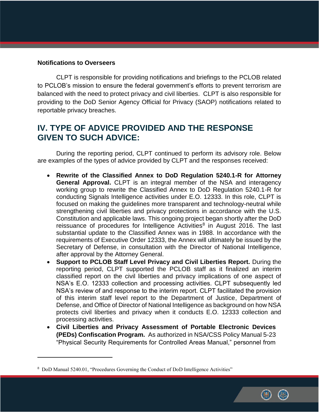#### **Notifications to Overseers**

 $\overline{a}$ 

CLPT is responsible for providing notifications and briefings to the PCLOB related to PCLOB's mission to ensure the federal government's efforts to prevent terrorism are balanced with the need to protect privacy and civil liberties. CLPT is also responsible for providing to the DoD Senior Agency Official for Privacy (SAOP) notifications related to reportable privacy breaches.

### **IV. TYPE OF ADVICE PROVIDED AND THE RESPONSE GIVEN TO SUCH ADVICE:**

During the reporting period, CLPT continued to perform its advisory role. Below are examples of the types of advice provided by CLPT and the responses received:

- **Rewrite of the Classified Annex to DoD Regulation 5240.1-R for Attorney General Approval.** CLPT is an integral member of the NSA and interagency working group to rewrite the Classified Annex to DoD Regulation 5240.1-R for conducting Signals Intelligence activities under E.O. 12333. In this role, CLPT is focused on making the guidelines more transparent and technology-neutral while strengthening civil liberties and privacy protections in accordance with the U.S. Constitution and applicable laws. This ongoing project began shortly after the DoD reissuance of procedures for Intelligence Activities $8$  in August 2016. The last substantial update to the Classified Annex was in 1988. In accordance with the requirements of Executive Order 12333, the Annex will ultimately be issued by the Secretary of Defense, in consultation with the Director of National Intelligence, after approval by the Attorney General.
- **Support to PCLOB Staff Level Privacy and Civil Liberties Report.** During the reporting period, CLPT supported the PCLOB staff as it finalized an interim classified report on the civil liberties and privacy implications of one aspect of NSA's E.O. 12333 collection and processing activities. CLPT subsequently led NSA's review of and response to the interim report. CLPT facilitated the provision of this interim staff level report to the Department of Justice, Department of Defense, and Office of Director of National Intelligence as background on how NSA protects civil liberties and privacy when it conducts E.O. 12333 collection and processing activities.
- **Civil Liberties and Privacy Assessment of Portable Electronic Devices (PEDs) Confiscation Program.** As authorized in NSA/CSS Policy Manual 5-23 "Physical Security Requirements for Controlled Areas Manual," personnel from



<sup>&</sup>lt;sup>8</sup> DoD Manual 5240.01, "Procedures Governing the Conduct of DoD Intelligence Activities"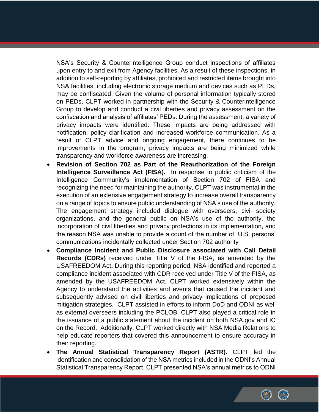NSA's Security & Counterintelligence Group conduct inspections of affiliates upon entry to and exit from Agency facilities. As a result of these inspections, in addition to self-reporting by affiliates, prohibited and restricted items brought into NSA facilities, including electronic storage medium and devices such as PEDs, may be confiscated. Given the volume of personal information typically stored on PEDs, CLPT worked in partnership with the Security & Counterintelligence Group to develop and conduct a civil liberties and privacy assessment on the confiscation and analysis of affiliates' PEDs. During the assessment, a variety of privacy impacts were identified. These impacts are being addressed with notification, policy clarification and increased workforce communication. As a result of CLPT advice and ongoing engagement, there continues to be improvements in the program; privacy impacts are being minimized while transparency and workforce awareness are increasing.

- **Revision of Section 702 as Part of the Reauthorization of the Foreign Intelligence Surveillance Act (FISA).** In response to public criticism of the Intelligence Community's implementation of Section 702 of FISA and recognizing the need for maintaining the authority, CLPT was instrumental in the execution of an extensive engagement strategy to increase overall transparency on a range of topics to ensure public understanding of NSA's use of the authority. The engagement strategy included dialogue with overseers, civil society organizations, and the general public on NSA's use of the authority, the incorporation of civil liberties and privacy protections in its implementation, and the reason NSA was unable to provide a count of the number of U.S. persons' communications incidentally collected under Section 702 authority
- **Compliance Incident and Public Disclosure associated with Call Detail Records (CDRs)** received under Title V of the FISA, as amended by the USAFREEDOM Act**.** During this reporting period, NSA identified and reported a compliance incident associated with CDR received under Title V of the FISA, as amended by the USAFREEDOM Act. CLPT worked extensively within the Agency to understand the activities and events that caused the incident and subsequently advised on civil liberties and privacy implications of proposed mitigation strategies. CLPT assisted in efforts to inform DoD and ODNI as well as external overseers including the PCLOB. CLPT also played a critical role in the issuance of a public statement about the incident on both NSA.gov and IC on the Record. Additionally, CLPT worked directly with NSA Media Relations to help educate reporters that covered this announcement to ensure accuracy in their reporting.
- **The Annual Statistical Transparency Report (ASTR).** CLPT led the identification and consolidation of the NSA metrics included in the ODNI's Annual Statistical Transparency Report. CLPT presented NSA's annual metrics to ODNI

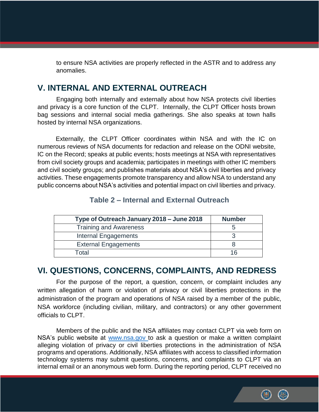to ensure NSA activities are properly reflected in the ASTR and to address any anomalies.

### **V. INTERNAL AND EXTERNAL OUTREACH**

Engaging both internally and externally about how NSA protects civil liberties and privacy is a core function of the CLPT. Internally, the CLPT Officer hosts brown bag sessions and internal social media gatherings. She also speaks at town halls hosted by internal NSA organizations.

Externally, the CLPT Officer coordinates within NSA and with the IC on numerous reviews of NSA documents for redaction and release on the ODNI website, IC on the Record; speaks at public events; hosts meetings at NSA with representatives from civil society groups and academia; participates in meetings with other IC members and civil society groups; and publishes materials about NSA's civil liberties and privacy activities. These engagements promote transparency and allow NSA to understand any public concerns about NSA's activities and potential impact on civil liberties and privacy.

## **Type of Outreach January 2018 – June 2018 Number** Training and Awareness and the state of the state of the state of the state of the state of the state of the state of the state of the state of the state of the state of the state of the state of the state of the state of Internal Engagements 3 External Engagements and a set of the set of the set of the set of the set of the set of the set of the set of the set of the set of the set of the set of the set of the set of the set of the set of the set of the set of t

### **Table 2 – Internal and External Outreach**

### **VI. QUESTIONS, CONCERNS, COMPLAINTS, AND REDRESS**

Total 16

For the purpose of the report, a question, concern, or complaint includes any written allegation of harm or violation of privacy or civil liberties protections in the administration of the program and operations of NSA raised by a member of the public, NSA workforce (including civilian, military, and contractors) or any other government officials to CLPT.

Members of the public and the NSA affiliates may contact CLPT via web form on NSA's public website at [www.nsa.gov](http://www.nsa.gov/) to ask a question or make a written complaint alleging violation of privacy or civil liberties protections in the administration of NSA programs and operations. Additionally, NSA affiliates with access to classified information technology systems may submit questions, concerns, and complaints to CLPT via an internal email or an anonymous web form. During the reporting period, CLPT received no